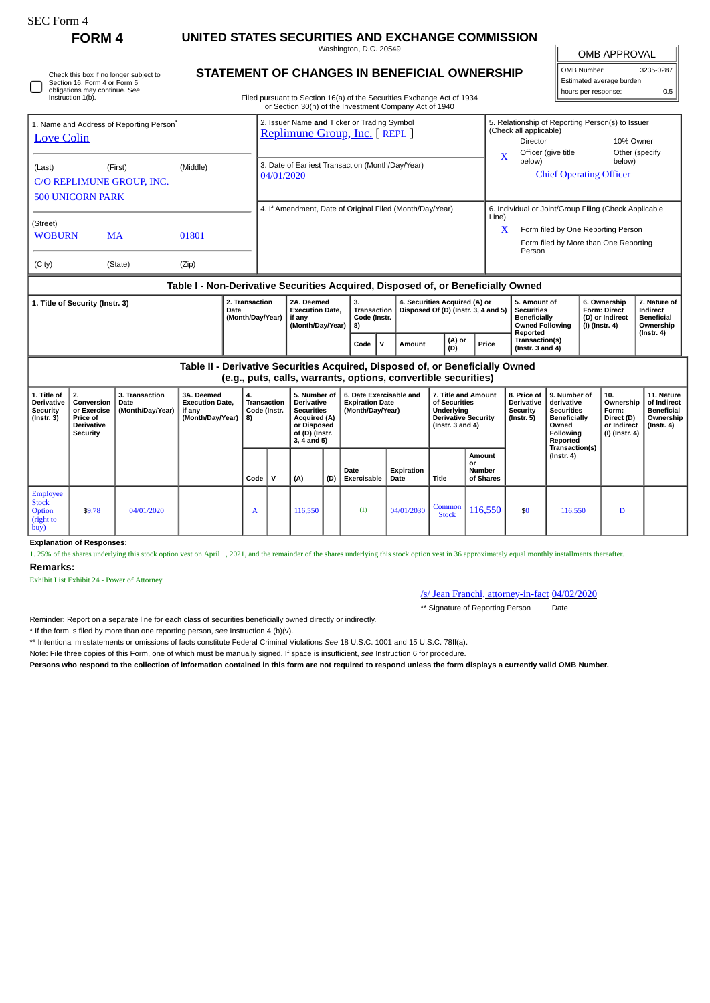| SEC Form 4 |  |
|------------|--|
|            |  |

∩

Check this box if no longer subject to Section 16. Form 4 or Form 5 obligations may continue. *See* Instruction 1(b).

## **FORM 4 UNITED STATES SECURITIES AND EXCHANGE COMMISSION**

Washington, D.C. 20549

OMB APPROVAL

| OMB Number:<br>3235-0287 |     |  |  |  |  |  |  |  |
|--------------------------|-----|--|--|--|--|--|--|--|
| Estimated average burden |     |  |  |  |  |  |  |  |
| hours per response:      | 0.5 |  |  |  |  |  |  |  |

**STATEMENT OF CHANGES IN BENEFICIAL OWNERSHIP**

Filed pursuant to Section 16(a) of the Securities Exchange Act of 1934

|                                                                           |                                                                                                                                                                                                                                            |                                            |                                                                    |                  |                                                                              |                                                      |                                                                                                                        |      |                                                                       |        | or Section 30(h) of the Investment Company Act of 1940 |                                                                                                           |       |                                                                            |                                                                  |                                                                                                          |                                        |                                                                          |                                                                                 |  |
|---------------------------------------------------------------------------|--------------------------------------------------------------------------------------------------------------------------------------------------------------------------------------------------------------------------------------------|--------------------------------------------|--------------------------------------------------------------------|------------------|------------------------------------------------------------------------------|------------------------------------------------------|------------------------------------------------------------------------------------------------------------------------|------|-----------------------------------------------------------------------|--------|--------------------------------------------------------|-----------------------------------------------------------------------------------------------------------|-------|----------------------------------------------------------------------------|------------------------------------------------------------------|----------------------------------------------------------------------------------------------------------|----------------------------------------|--------------------------------------------------------------------------|---------------------------------------------------------------------------------|--|
| 1. Name and Address of Reporting Person <sup>7</sup><br><b>Love Colin</b> |                                                                                                                                                                                                                                            |                                            |                                                                    |                  | 2. Issuer Name and Ticker or Trading Symbol<br>Replimune Group, Inc. [REPL ] |                                                      |                                                                                                                        |      |                                                                       |        |                                                        |                                                                                                           |       | 5. Relationship of Reporting Person(s) to Issuer<br>(Check all applicable) |                                                                  |                                                                                                          |                                        |                                                                          |                                                                                 |  |
|                                                                           |                                                                                                                                                                                                                                            |                                            |                                                                    |                  |                                                                              |                                                      |                                                                                                                        |      |                                                                       |        |                                                        |                                                                                                           |       |                                                                            | Director                                                         | Officer (give title                                                                                      |                                        | 10% Owner<br>Other (specify                                              |                                                                                 |  |
|                                                                           |                                                                                                                                                                                                                                            |                                            | (Middle)                                                           |                  |                                                                              | 3. Date of Earliest Transaction (Month/Day/Year)     |                                                                                                                        |      |                                                                       |        |                                                        |                                                                                                           |       |                                                                            | $\mathbf x$<br>below)                                            |                                                                                                          |                                        | below)                                                                   |                                                                                 |  |
| (First)<br>(Last)                                                         |                                                                                                                                                                                                                                            |                                            |                                                                    |                  |                                                                              | 04/01/2020                                           |                                                                                                                        |      |                                                                       |        |                                                        |                                                                                                           |       |                                                                            | <b>Chief Operating Officer</b>                                   |                                                                                                          |                                        |                                                                          |                                                                                 |  |
| C/O REPLIMUNE GROUP, INC.                                                 |                                                                                                                                                                                                                                            |                                            |                                                                    |                  |                                                                              |                                                      |                                                                                                                        |      |                                                                       |        |                                                        |                                                                                                           |       |                                                                            |                                                                  |                                                                                                          |                                        |                                                                          |                                                                                 |  |
| <b>500 UNICORN PARK</b>                                                   |                                                                                                                                                                                                                                            |                                            |                                                                    |                  | 4. If Amendment, Date of Original Filed (Month/Day/Year)                     |                                                      |                                                                                                                        |      |                                                                       |        |                                                        |                                                                                                           |       | 6. Individual or Joint/Group Filing (Check Applicable                      |                                                                  |                                                                                                          |                                        |                                                                          |                                                                                 |  |
| (Street)                                                                  |                                                                                                                                                                                                                                            |                                            |                                                                    |                  |                                                                              |                                                      |                                                                                                                        |      |                                                                       |        |                                                        |                                                                                                           |       |                                                                            | Line)                                                            |                                                                                                          |                                        |                                                                          |                                                                                 |  |
| <b>WOBURN</b>                                                             |                                                                                                                                                                                                                                            | <b>MA</b>                                  | 01801                                                              |                  |                                                                              |                                                      |                                                                                                                        |      |                                                                       |        |                                                        |                                                                                                           |       | X                                                                          | Form filed by One Reporting Person                               |                                                                                                          |                                        |                                                                          |                                                                                 |  |
|                                                                           |                                                                                                                                                                                                                                            |                                            |                                                                    |                  |                                                                              |                                                      |                                                                                                                        |      |                                                                       |        |                                                        |                                                                                                           |       |                                                                            | Person                                                           |                                                                                                          |                                        | Form filed by More than One Reporting                                    |                                                                                 |  |
| (City)                                                                    |                                                                                                                                                                                                                                            | (State)                                    | (Zip)                                                              |                  |                                                                              |                                                      |                                                                                                                        |      |                                                                       |        |                                                        |                                                                                                           |       |                                                                            |                                                                  |                                                                                                          |                                        |                                                                          |                                                                                 |  |
|                                                                           |                                                                                                                                                                                                                                            |                                            |                                                                    |                  |                                                                              |                                                      |                                                                                                                        |      |                                                                       |        |                                                        |                                                                                                           |       |                                                                            |                                                                  |                                                                                                          |                                        |                                                                          |                                                                                 |  |
|                                                                           | Table I - Non-Derivative Securities Acquired, Disposed of, or Beneficially Owned<br>2. Transaction<br>2A. Deemed<br>4. Securities Acquired (A) or<br>7. Nature of<br>1. Title of Security (Instr. 3)<br>3.<br>5. Amount of<br>6. Ownership |                                            |                                                                    |                  |                                                                              |                                                      |                                                                                                                        |      |                                                                       |        |                                                        |                                                                                                           |       |                                                                            |                                                                  |                                                                                                          |                                        |                                                                          |                                                                                 |  |
| Date                                                                      |                                                                                                                                                                                                                                            |                                            |                                                                    | (Month/Day/Year) |                                                                              | <b>Execution Date,</b><br>if any<br>(Month/Day/Year) |                                                                                                                        | 8)   | Transaction<br>Code (Instr.                                           |        | Disposed Of (D) (Instr. 3, 4 and 5)                    |                                                                                                           |       | <b>Securities</b><br><b>Beneficially</b><br><b>Owned Following</b>         |                                                                  | $(I)$ (Instr. 4)                                                                                         | <b>Form: Direct</b><br>(D) or Indirect | <b>Indirect</b><br><b>Beneficial</b><br>Ownership                        |                                                                                 |  |
|                                                                           |                                                                                                                                                                                                                                            |                                            |                                                                    |                  |                                                                              |                                                      |                                                                                                                        | Code | $\mathsf{v}$                                                          | Amount | (A) or<br>(D)                                          |                                                                                                           | Price |                                                                            | Reported<br>Transaction(s)<br>(Instr. $3$ and $4$ )              |                                                                                                          |                                        | $($ Instr. 4 $)$                                                         |                                                                                 |  |
|                                                                           | Table II - Derivative Securities Acquired, Disposed of, or Beneficially Owned<br>(e.g., puts, calls, warrants, options, convertible securities)                                                                                            |                                            |                                                                    |                  |                                                                              |                                                      |                                                                                                                        |      |                                                                       |        |                                                        |                                                                                                           |       |                                                                            |                                                                  |                                                                                                          |                                        |                                                                          |                                                                                 |  |
| 1. Title of<br>Derivative<br><b>Security</b><br>(Instr. 3)                | 2.<br>Conversion<br>or Exercise<br>Price of<br>Derivative<br><b>Security</b>                                                                                                                                                               | 3. Transaction<br>Date<br>(Month/Day/Year) | 3A. Deemed<br><b>Execution Date,</b><br>if any<br>(Month/Day/Year) |                  | 4.<br>Transaction<br>Code (Instr.<br>8)                                      |                                                      | 5. Number of<br><b>Derivative</b><br><b>Securities</b><br>Acquired (A)<br>or Disposed<br>of (D) (Instr.<br>3, 4 and 5) |      | 6. Date Exercisable and<br><b>Expiration Date</b><br>(Month/Day/Year) |        |                                                        | 7. Title and Amount<br>of Securities<br>Underlying<br><b>Derivative Security</b><br>(Instr. $3$ and $4$ ) |       |                                                                            | 8. Price of<br><b>Derivative</b><br>Security<br>$($ lnstr. 5 $)$ | 9. Number of<br>derivative<br><b>Securities</b><br><b>Beneficially</b><br>Owned<br>Following<br>Reported |                                        | 10.<br>Ownership<br>Form:<br>Direct (D)<br>or Indirect<br>(I) (Instr. 4) | 11. Nature<br>of Indirect<br><b>Beneficial</b><br>Ownership<br>$($ Instr. 4 $)$ |  |
|                                                                           |                                                                                                                                                                                                                                            |                                            |                                                                    |                  | Code                                                                         | $\mathsf{v}$                                         | (A)                                                                                                                    | (D)  | Date<br>Exercisable                                                   |        | <b>Expiration</b><br>Date                              | Title                                                                                                     | or    | Amount<br><b>Number</b><br>of Shares                                       |                                                                  | Transaction(s)<br>$($ lnstr. 4 $)$                                                                       |                                        |                                                                          |                                                                                 |  |
| <b>Employee</b>                                                           |                                                                                                                                                                                                                                            |                                            |                                                                    |                  |                                                                              |                                                      |                                                                                                                        |      |                                                                       |        |                                                        |                                                                                                           |       |                                                                            |                                                                  |                                                                                                          |                                        |                                                                          |                                                                                 |  |

**Explanation of Responses:**

1. 25% of the shares underlying this stock option vest on April 1, 2021, and the remainder of the shares underlying this stock option vest in 36 approximately equal monthly installments thereafter.

**Remarks:**

Stock Option (right to buy)

Exhibit List Exhibit 24 - Power of Attorney

/s/ Jean Franchi, attorney-in-fact 04/02/2020

 $\begin{array}{|c|c|c|c|c|c|} \hline \text{Common} & 116,550 & $50 & $116,550 & $D$ \ \hline \end{array}$ 

\*\* Signature of Reporting Person Date

Reminder: Report on a separate line for each class of securities beneficially owned directly or indirectly.

\* If the form is filed by more than one reporting person, *see* Instruction 4 (b)(v).

\*\* Intentional misstatements or omissions of facts constitute Federal Criminal Violations *See* 18 U.S.C. 1001 and 15 U.S.C. 78ff(a).

 $\bullet$  \$9.78 04/01/2020  $\bullet$  A 116,550 (1) 04/01/2030 Common

Note: File three copies of this Form, one of which must be manually signed. If space is insufficient, *see* Instruction 6 for procedure.

**Persons who respond to the collection of information contained in this form are not required to respond unless the form displays a currently valid OMB Number.**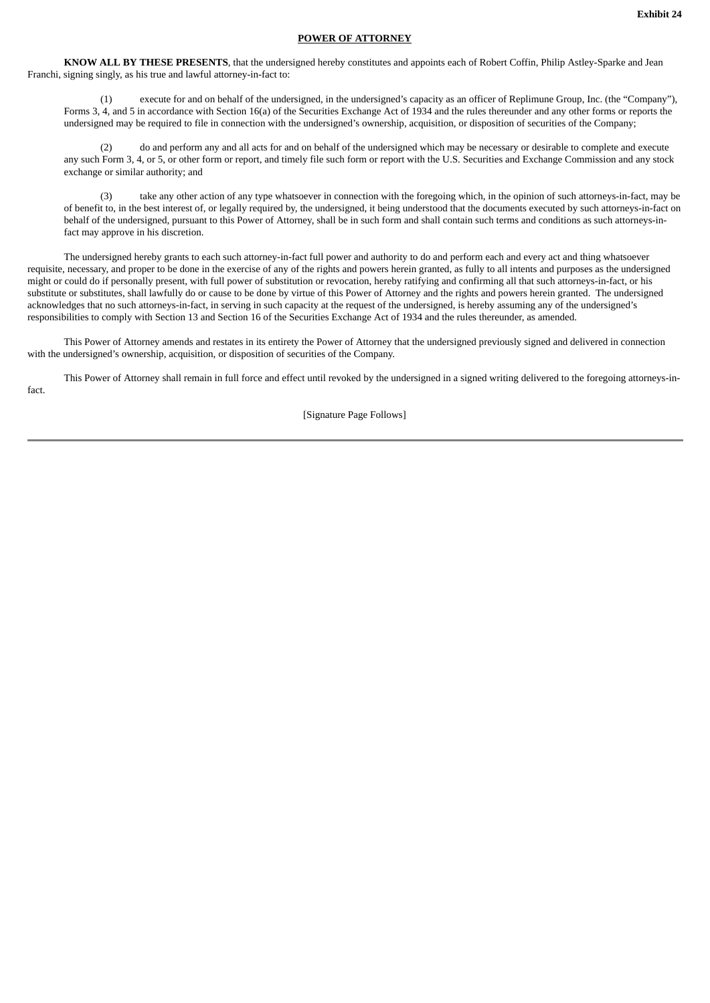## **POWER OF ATTORNEY**

**KNOW ALL BY THESE PRESENTS**, that the undersigned hereby constitutes and appoints each of Robert Coffin, Philip Astley-Sparke and Jean Franchi, signing singly, as his true and lawful attorney-in-fact to:

(1) execute for and on behalf of the undersigned, in the undersigned's capacity as an officer of Replimune Group, Inc. (the "Company"), Forms 3, 4, and 5 in accordance with Section 16(a) of the Securities Exchange Act of 1934 and the rules thereunder and any other forms or reports the undersigned may be required to file in connection with the undersigned's ownership, acquisition, or disposition of securities of the Company;

(2) do and perform any and all acts for and on behalf of the undersigned which may be necessary or desirable to complete and execute any such Form 3, 4, or 5, or other form or report, and timely file such form or report with the U.S. Securities and Exchange Commission and any stock exchange or similar authority; and

(3) take any other action of any type whatsoever in connection with the foregoing which, in the opinion of such attorneys-in-fact, may be of benefit to, in the best interest of, or legally required by, the undersigned, it being understood that the documents executed by such attorneys-in-fact on behalf of the undersigned, pursuant to this Power of Attorney, shall be in such form and shall contain such terms and conditions as such attorneys-infact may approve in his discretion.

The undersigned hereby grants to each such attorney-in-fact full power and authority to do and perform each and every act and thing whatsoever requisite, necessary, and proper to be done in the exercise of any of the rights and powers herein granted, as fully to all intents and purposes as the undersigned might or could do if personally present, with full power of substitution or revocation, hereby ratifying and confirming all that such attorneys-in-fact, or his substitute or substitutes, shall lawfully do or cause to be done by virtue of this Power of Attorney and the rights and powers herein granted. The undersigned acknowledges that no such attorneys-in-fact, in serving in such capacity at the request of the undersigned, is hereby assuming any of the undersigned's responsibilities to comply with Section 13 and Section 16 of the Securities Exchange Act of 1934 and the rules thereunder, as amended.

This Power of Attorney amends and restates in its entirety the Power of Attorney that the undersigned previously signed and delivered in connection with the undersigned's ownership, acquisition, or disposition of securities of the Company.

This Power of Attorney shall remain in full force and effect until revoked by the undersigned in a signed writing delivered to the foregoing attorneys-infact.

[Signature Page Follows]